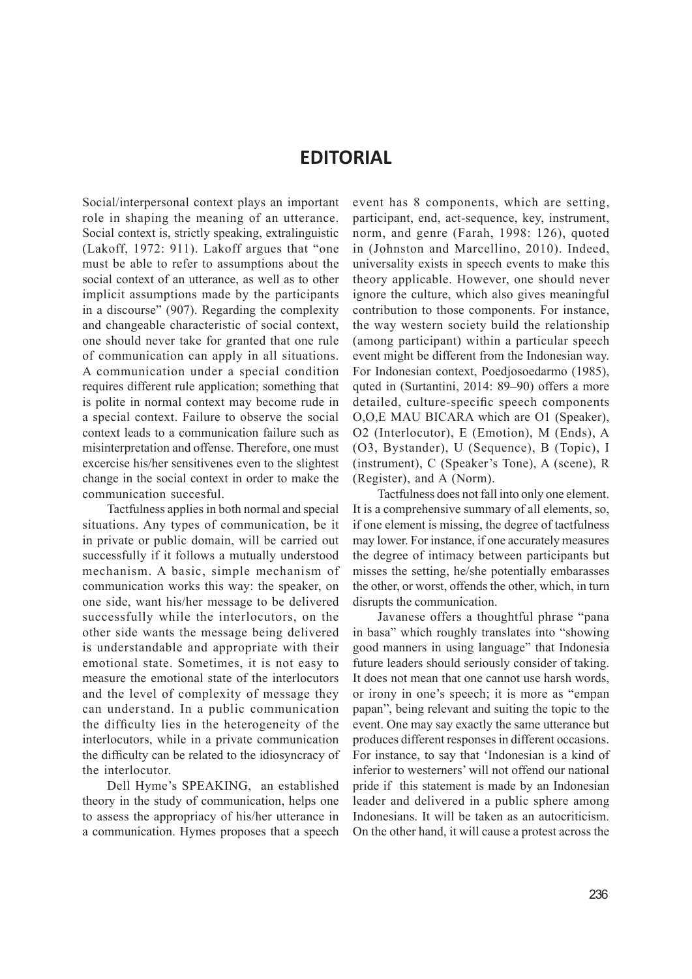## **EDITORIAL**

Social/interpersonal context plays an important role in shaping the meaning of an utterance. Social context is, strictly speaking, extralinguistic (Lakoff, 1972: 911). Lakoff argues that "one must be able to refer to assumptions about the social context of an utterance, as well as to other implicit assumptions made by the participants in a discourse" (907). Regarding the complexity and changeable characteristic of social context, one should never take for granted that one rule of communication can apply in all situations. A communication under a special condition requires different rule application; something that is polite in normal context may become rude in a special context. Failure to observe the social context leads to a communication failure such as misinterpretation and offense. Therefore, one must excercise his/her sensitivenes even to the slightest change in the social context in order to make the communication succesful.

Tactfulness applies in both normal and special situations. Any types of communication, be it in private or public domain, will be carried out successfully if it follows a mutually understood mechanism. A basic, simple mechanism of communication works this way: the speaker, on one side, want his/her message to be delivered successfully while the interlocutors, on the other side wants the message being delivered is understandable and appropriate with their emotional state. Sometimes, it is not easy to measure the emotional state of the interlocutors and the level of complexity of message they can understand. In a public communication the difficulty lies in the heterogeneity of the interlocutors, while in a private communication the difficulty can be related to the idiosyncracy of the interlocutor.

Dell Hyme's SPEAKING, an established theory in the study of communication, helps one to assess the appropriacy of his/her utterance in a communication. Hymes proposes that a speech

event has 8 components, which are setting, participant, end, act-sequence, key, instrument, norm, and genre (Farah, 1998: 126), quoted in (Johnston and Marcellino, 2010). Indeed, universality exists in speech events to make this theory applicable. However, one should never ignore the culture, which also gives meaningful contribution to those components. For instance, the way western society build the relationship (among participant) within a particular speech event might be different from the Indonesian way. For Indonesian context, Poedjosoedarmo (1985), quted in (Surtantini, 2014: 89–90) offers a more detailed, culture-specific speech components O,O,E MAU BICARA which are O1 (Speaker), O2 (Interlocutor), E (Emotion), M (Ends), A (O3, Bystander), U (Sequence), B (Topic), I (instrument), C (Speaker's Tone), A (scene), R (Register), and A (Norm).

Tactfulness does not fall into only one element. It is a comprehensive summary of all elements, so, if one element is missing, the degree of tactfulness may lower. For instance, if one accurately measures the degree of intimacy between participants but misses the setting, he/she potentially embarasses the other, or worst, offends the other, which, in turn disrupts the communication.

Javanese offers a thoughtful phrase "pana in basa" which roughly translates into "showing good manners in using language" that Indonesia future leaders should seriously consider of taking. It does not mean that one cannot use harsh words, or irony in one's speech; it is more as "empan papan", being relevant and suiting the topic to the event. One may say exactly the same utterance but produces different responses in different occasions. For instance, to say that 'Indonesian is a kind of inferior to westerners' will not offend our national pride if this statement is made by an Indonesian leader and delivered in a public sphere among Indonesians. It will be taken as an autocriticism. On the other hand, it will cause a protest across the